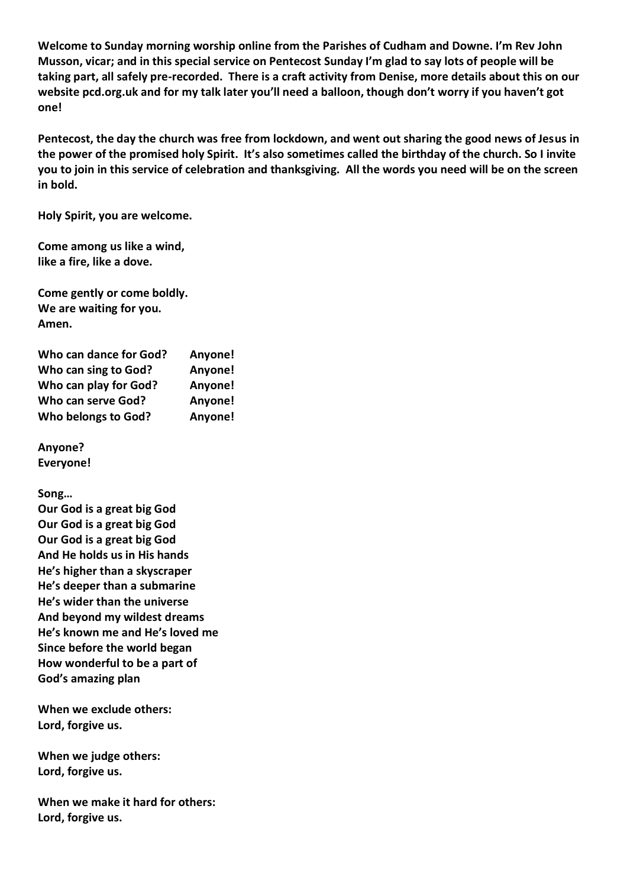**Welcome to Sunday morning worship online from the Parishes of Cudham and Downe. I'm Rev John Musson, vicar; and in this special service on Pentecost Sunday I'm glad to say lots of people will be taking part, all safely pre-recorded. There is a craft activity from Denise, more details about this on our website pcd.org.uk and for my talk later you'll need a balloon, though don't worry if you haven't got one!**

**Pentecost, the day the church was free from lockdown, and went out sharing the good news of Jesus in the power of the promised holy Spirit. It's also sometimes called the birthday of the church. So I invite you to join in this service of celebration and thanksgiving. All the words you need will be on the screen in bold.**

**Holy Spirit, you are welcome.**

**Come among us like a wind, like a fire, like a dove.**

**Come gently or come boldly. We are waiting for you. Amen.**

| Who can dance for God? | Anyone! |
|------------------------|---------|
| Who can sing to God?   | Anyone! |
| Who can play for God?  | Anyone! |
| Who can serve God?     | Anyone! |
| Who belongs to God?    | Anyone! |

**Anyone? Everyone!**

**Song…**

**Our God is a great big God Our God is a great big God Our God is a great big God And He holds us in His hands He's higher than a skyscraper He's deeper than a submarine He's wider than the universe And beyond my wildest dreams He's known me and He's loved me Since before the world began How wonderful to be a part of God's amazing plan**

**When we exclude others: Lord, forgive us.**

**When we judge others: Lord, forgive us.**

**When we make it hard for others: Lord, forgive us.**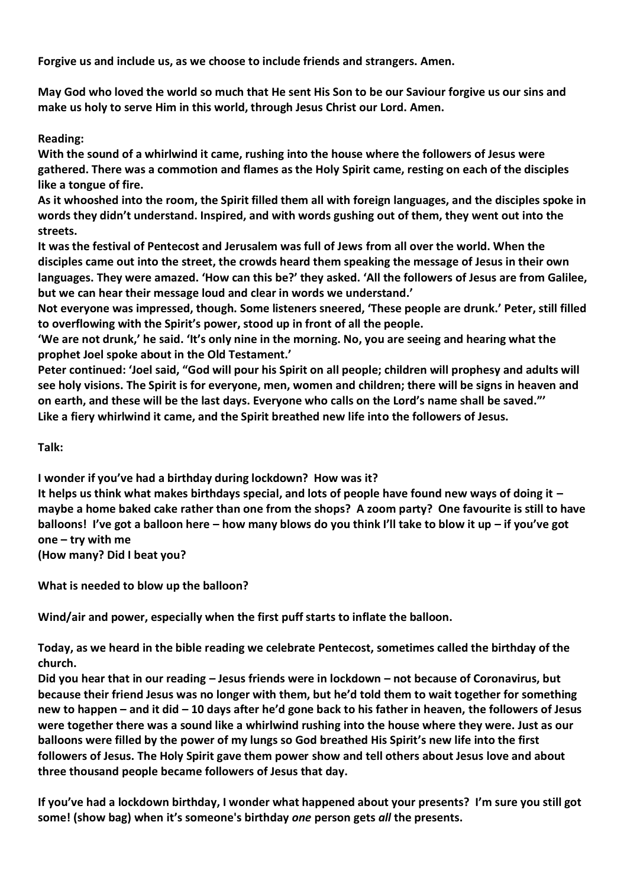**Forgive us and include us, as we choose to include friends and strangers. Amen.**

**May God who loved the world so much that He sent His Son to be our Saviour forgive us our sins and make us holy to serve Him in this world, through Jesus Christ our Lord. Amen.**

## **Reading:**

**With the sound of a whirlwind it came, rushing into the house where the followers of Jesus were gathered. There was a commotion and flames as the Holy Spirit came, resting on each of the disciples like a tongue of fire.**

**As it whooshed into the room, the Spirit filled them all with foreign languages, and the disciples spoke in words they didn't understand. Inspired, and with words gushing out of them, they went out into the streets.**

**It was the festival of Pentecost and Jerusalem was full of Jews from all over the world. When the disciples came out into the street, the crowds heard them speaking the message of Jesus in their own languages. They were amazed. 'How can this be?' they asked. 'All the followers of Jesus are from Galilee, but we can hear their message loud and clear in words we understand.'**

**Not everyone was impressed, though. Some listeners sneered, 'These people are drunk.' Peter, still filled to overflowing with the Spirit's power, stood up in front of all the people.**

**'We are not drunk,' he said. 'It's only nine in the morning. No, you are seeing and hearing what the prophet Joel spoke about in the Old Testament.'**

**Peter continued: 'Joel said, "God will pour his Spirit on all people; children will prophesy and adults will see holy visions. The Spirit is for everyone, men, women and children; there will be signs in heaven and on earth, and these will be the last days. Everyone who calls on the Lord's name shall be saved."' Like a fiery whirlwind it came, and the Spirit breathed new life into the followers of Jesus.**

**Talk:**

**I wonder if you've had a birthday during lockdown? How was it?** 

**It helps us think what makes birthdays special, and lots of people have found new ways of doing it – maybe a home baked cake rather than one from the shops? A zoom party? One favourite is still to have balloons! I've got a balloon here – how many blows do you think I'll take to blow it up – if you've got one – try with me** 

**(How many? Did I beat you?**

**What is needed to blow up the balloon?**

**Wind/air and power, especially when the first puff starts to inflate the balloon.**

**Today, as we heard in the bible reading we celebrate Pentecost, sometimes called the birthday of the church.**

**Did you hear that in our reading – Jesus friends were in lockdown – not because of Coronavirus, but because their friend Jesus was no longer with them, but he'd told them to wait together for something new to happen – and it did – 10 days after he'd gone back to his father in heaven, the followers of Jesus were together there was a sound like a whirlwind rushing into the house where they were. Just as our balloons were filled by the power of my lungs so God breathed His Spirit's new life into the first followers of Jesus. The Holy Spirit gave them power show and tell others about Jesus love and about three thousand people became followers of Jesus that day.**

**If you've had a lockdown birthday, I wonder what happened about your presents? I'm sure you still got some! (show bag) when it's someone's birthday** *one* **person gets** *all* **the presents.**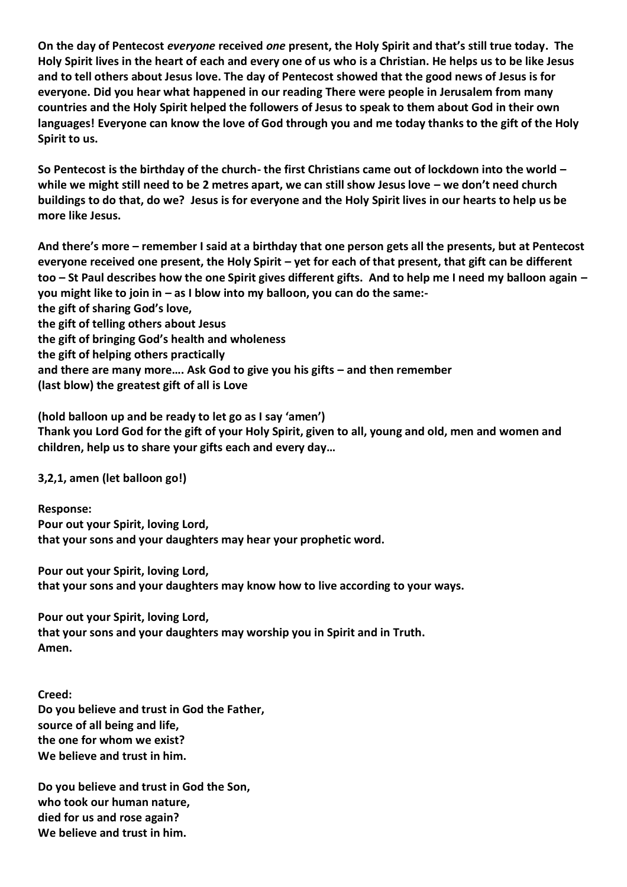**On the day of Pentecost** *everyone* **received** *one* **present, the Holy Spirit and that's still true today. The Holy Spirit lives in the heart of each and every one of us who is a Christian. He helps us to be like Jesus and to tell others about Jesus love. The day of Pentecost showed that the good news of Jesus is for everyone. Did you hear what happened in our reading There were people in Jerusalem from many countries and the Holy Spirit helped the followers of Jesus to speak to them about God in their own languages! Everyone can know the love of God through you and me today thanks to the gift of the Holy Spirit to us.**

**So Pentecost is the birthday of the church- the first Christians came out of lockdown into the world – while we might still need to be 2 metres apart, we can still show Jesus love – we don't need church buildings to do that, do we? Jesus is for everyone and the Holy Spirit lives in our hearts to help us be more like Jesus.**

**And there's more – remember I said at a birthday that one person gets all the presents, but at Pentecost everyone received one present, the Holy Spirit – yet for each of that present, that gift can be different too – St Paul describes how the one Spirit gives different gifts. And to help me I need my balloon again – you might like to join in – as I blow into my balloon, you can do the same: the gift of sharing God's love, the gift of telling others about Jesus the gift of bringing God's health and wholeness the gift of helping others practically and there are many more…. Ask God to give you his gifts – and then remember**

**(last blow) the greatest gift of all is Love**

**(hold balloon up and be ready to let go as I say 'amen') Thank you Lord God for the gift of your Holy Spirit, given to all, young and old, men and women and children, help us to share your gifts each and every day…**

**3,2,1, amen (let balloon go!)**

**Response: Pour out your Spirit, loving Lord, that your sons and your daughters may hear your prophetic word.**

**Pour out your Spirit, loving Lord, that your sons and your daughters may know how to live according to your ways.**

**Pour out your Spirit, loving Lord, that your sons and your daughters may worship you in Spirit and in Truth. Amen.**

**Creed: Do you believe and trust in God the Father, source of all being and life, the one for whom we exist? We believe and trust in him.**

**Do you believe and trust in God the Son, who took our human nature, died for us and rose again? We believe and trust in him.**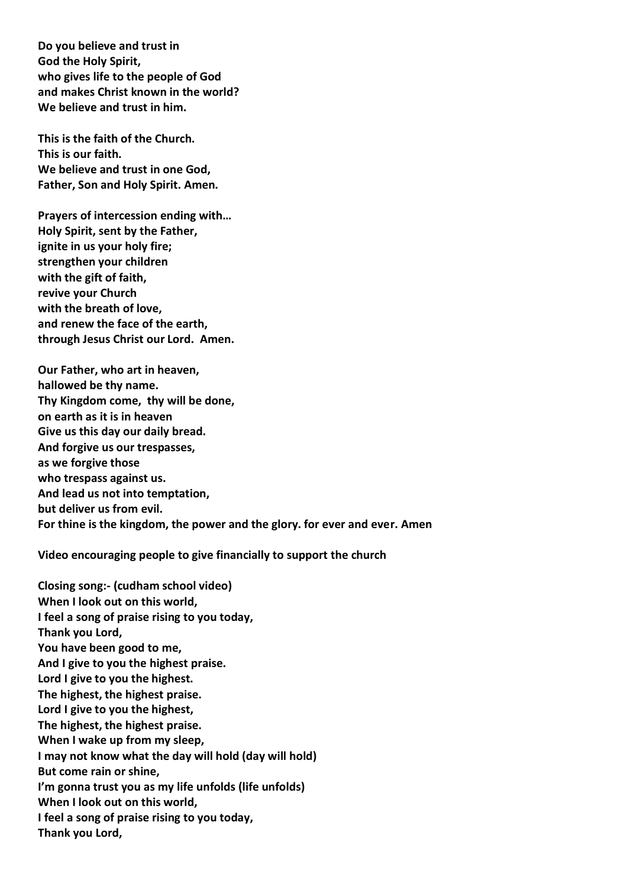**Do you believe and trust in God the Holy Spirit, who gives life to the people of God and makes Christ known in the world? We believe and trust in him.**

**This is the faith of the Church. This is our faith. We believe and trust in one God, Father, Son and Holy Spirit. Amen.**

**Prayers of intercession ending with… Holy Spirit, sent by the Father, ignite in us your holy fire; strengthen your children with the gift of faith, revive your Church with the breath of love, and renew the face of the earth, through Jesus Christ our Lord. Amen.**

**Our Father, who art in heaven, hallowed be thy name. Thy Kingdom come, thy will be done, on earth as it is in heaven Give us this day our daily bread. And forgive us our trespasses, as we forgive those who trespass against us. And lead us not into temptation, but deliver us from evil. For thine is the kingdom, the power and the glory. for ever and ever. Amen**

**Video encouraging people to give financially to support the church**

**Closing song:- (cudham school video) When I look out on this world, I feel a song of praise rising to you today, Thank you Lord, You have been good to me, And I give to you the highest praise. Lord I give to you the highest. The highest, the highest praise. Lord I give to you the highest, The highest, the highest praise. When I wake up from my sleep, I may not know what the day will hold (day will hold) But come rain or shine, I'm gonna trust you as my life unfolds (life unfolds) When I look out on this world, I feel a song of praise rising to you today, Thank you Lord,**